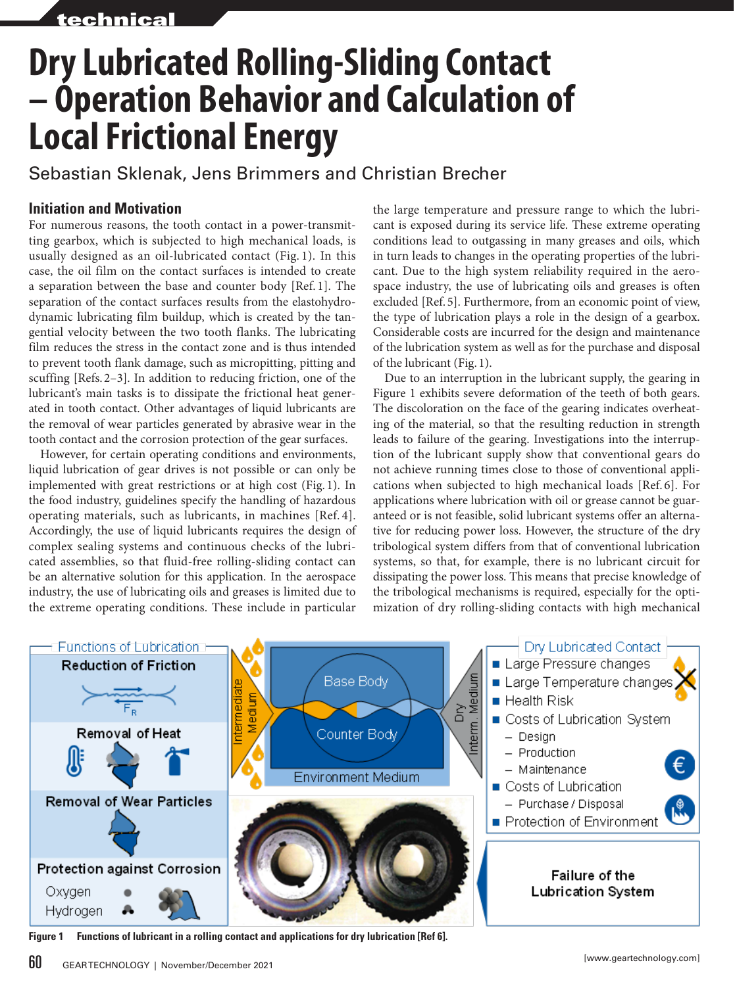# **Dry Lubricated Rolling-Sliding Contact – Operation Behavior and Calculation of Local Frictional Energy**

Sebastian Sklenak, Jens Brimmers and Christian Brecher

# **Initiation and Motivation**

For numerous reasons, the tooth contact in a power-transmitting gearbox, which is subjected to high mechanical loads, is usually designed as an oil-lubricated contact (Fig. 1). In this case, the oil film on the contact surfaces is intended to create a separation between the base and counter body [Ref. 1]. The separation of the contact surfaces results from the elastohydrodynamic lubricating film buildup, which is created by the tangential velocity between the two tooth flanks. The lubricating film reduces the stress in the contact zone and is thus intended to prevent tooth flank damage, such as micropitting, pitting and scuffing [Refs. 2–3]. In addition to reducing friction, one of the lubricant's main tasks is to dissipate the frictional heat generated in tooth contact. Other advantages of liquid lubricants are the removal of wear particles generated by abrasive wear in the tooth contact and the corrosion protection of the gear surfaces.

However, for certain operating conditions and environments, liquid lubrication of gear drives is not possible or can only be implemented with great restrictions or at high cost (Fig. 1). In the food industry, guidelines specify the handling of hazardous operating materials, such as lubricants, in machines [Ref. 4]. Accordingly, the use of liquid lubricants requires the design of complex sealing systems and continuous checks of the lubricated assemblies, so that fluid-free rolling-sliding contact can be an alternative solution for this application. In the aerospace industry, the use of lubricating oils and greases is limited due to the extreme operating conditions. These include in particular

the large temperature and pressure range to which the lubricant is exposed during its service life. These extreme operating conditions lead to outgassing in many greases and oils, which in turn leads to changes in the operating properties of the lubricant. Due to the high system reliability required in the aerospace industry, the use of lubricating oils and greases is often excluded [Ref. 5]. Furthermore, from an economic point of view, the type of lubrication plays a role in the design of a gearbox. Considerable costs are incurred for the design and maintenance of the lubrication system as well as for the purchase and disposal of the lubricant (Fig. 1).

Due to an interruption in the lubricant supply, the gearing in Figure 1 exhibits severe deformation of the teeth of both gears. The discoloration on the face of the gearing indicates overheating of the material, so that the resulting reduction in strength leads to failure of the gearing. Investigations into the interruption of the lubricant supply show that conventional gears do not achieve running times close to those of conventional applications when subjected to high mechanical loads [Ref. 6]. For applications where lubrication with oil or grease cannot be guaranteed or is not feasible, solid lubricant systems offer an alternative for reducing power loss. However, the structure of the dry tribological system differs from that of conventional lubrication systems, so that, for example, there is no lubricant circuit for dissipating the power loss. This means that precise knowledge of the tribological mechanisms is required, especially for the optimization of dry rolling-sliding contacts with high mechanical



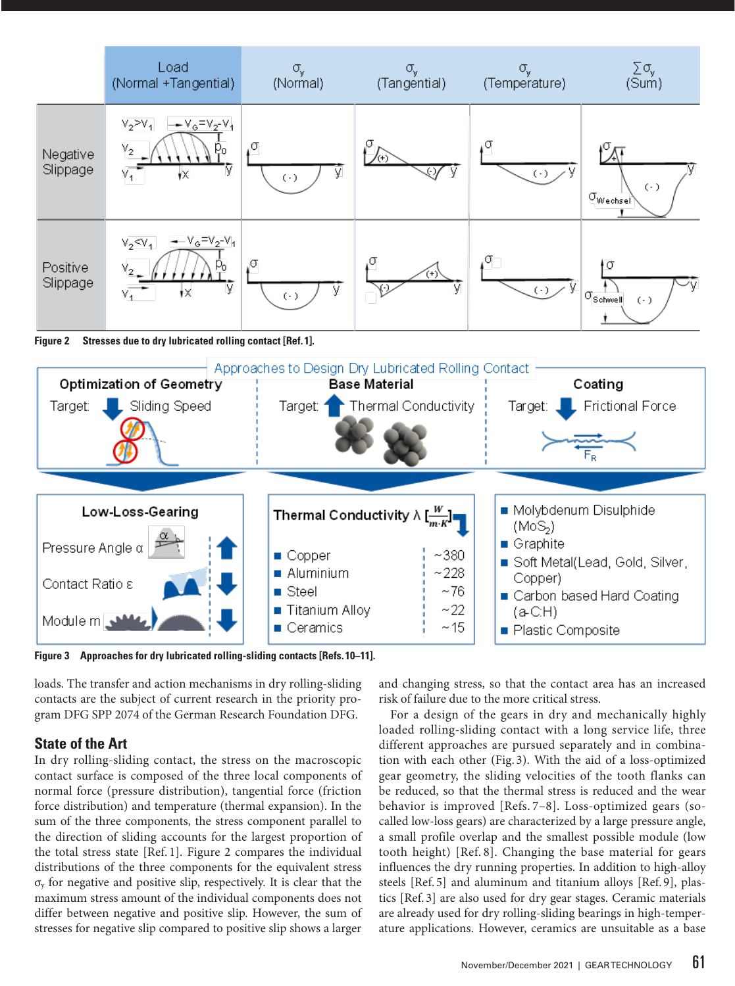

**Figure 2 Stresses due to dry lubricated rolling contact [Ref. 1].**



**Figure 3 Approaches for dry lubricated rolling-sliding contacts [Refs. 10–11].**

loads. The transfer and action mechanisms in dry rolling-sliding contacts are the subject of current research in the priority program DFG SPP 2074 of the German Research Foundation DFG.

#### **State of the Art**

In dry rolling-sliding contact, the stress on the macroscopic contact surface is composed of the three local components of normal force (pressure distribution), tangential force (friction force distribution) and temperature (thermal expansion). In the sum of the three components, the stress component parallel to the direction of sliding accounts for the largest proportion of the total stress state [Ref. 1]. Figure 2 compares the individual distributions of the three components for the equivalent stress  $\sigma_{v}$  for negative and positive slip, respectively. It is clear that the maximum stress amount of the individual components does not differ between negative and positive slip. However, the sum of stresses for negative slip compared to positive slip shows a larger

and changing stress, so that the contact area has an increased risk of failure due to the more critical stress.

For a design of the gears in dry and mechanically highly loaded rolling-sliding contact with a long service life, three different approaches are pursued separately and in combination with each other (Fig. 3). With the aid of a loss-optimized gear geometry, the sliding velocities of the tooth flanks can be reduced, so that the thermal stress is reduced and the wear behavior is improved [Refs. 7–8]. Loss-optimized gears (socalled low-loss gears) are characterized by a large pressure angle, a small profile overlap and the smallest possible module (low tooth height) [Ref. 8]. Changing the base material for gears influences the dry running properties. In addition to high-alloy steels [Ref. 5] and aluminum and titanium alloys [Ref. 9], plastics [Ref. 3] are also used for dry gear stages. Ceramic materials are already used for dry rolling-sliding bearings in high-temperature applications. However, ceramics are unsuitable as a base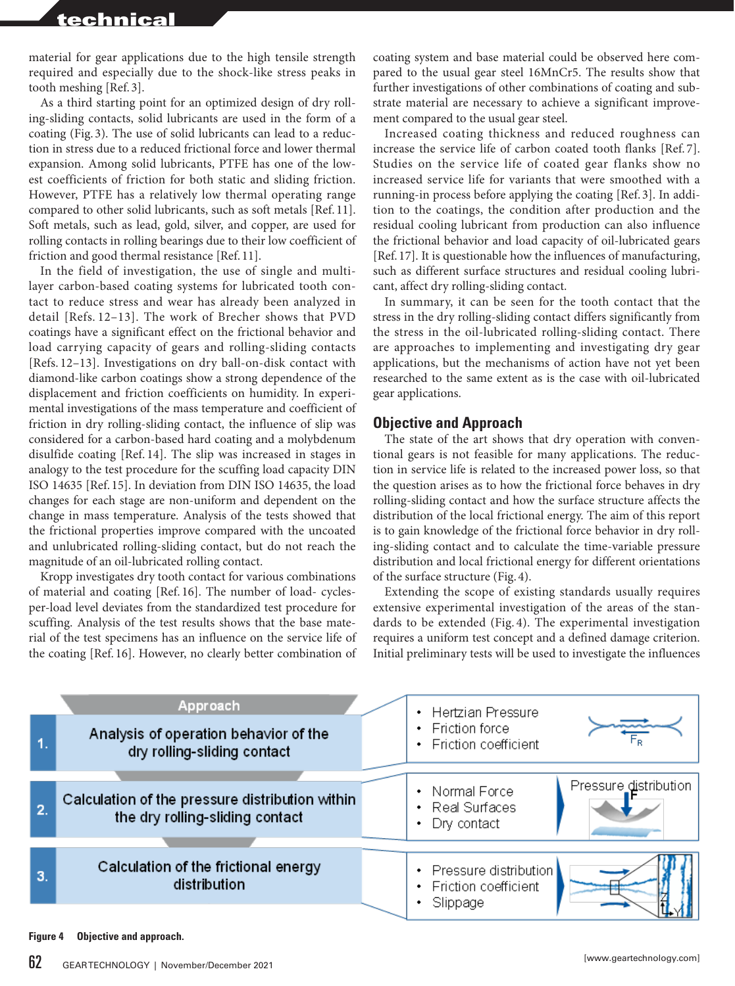material for gear applications due to the high tensile strength required and especially due to the shock-like stress peaks in tooth meshing [Ref. 3].

As a third starting point for an optimized design of dry rolling-sliding contacts, solid lubricants are used in the form of a coating (Fig. 3). The use of solid lubricants can lead to a reduction in stress due to a reduced frictional force and lower thermal expansion. Among solid lubricants, PTFE has one of the lowest coefficients of friction for both static and sliding friction. However, PTFE has a relatively low thermal operating range compared to other solid lubricants, such as soft metals [Ref. 11]. Soft metals, such as lead, gold, silver, and copper, are used for rolling contacts in rolling bearings due to their low coefficient of friction and good thermal resistance [Ref. 11].

In the field of investigation, the use of single and multilayer carbon-based coating systems for lubricated tooth contact to reduce stress and wear has already been analyzed in detail [Refs. 12–13]. The work of Brecher shows that PVD coatings have a significant effect on the frictional behavior and load carrying capacity of gears and rolling-sliding contacts [Refs. 12–13]. Investigations on dry ball-on-disk contact with diamond-like carbon coatings show a strong dependence of the displacement and friction coefficients on humidity. In experimental investigations of the mass temperature and coefficient of friction in dry rolling-sliding contact, the influence of slip was considered for a carbon-based hard coating and a molybdenum disulfide coating [Ref. 14]. The slip was increased in stages in analogy to the test procedure for the scuffing load capacity DIN ISO 14635 [Ref. 15]. In deviation from DIN ISO 14635, the load changes for each stage are non-uniform and dependent on the change in mass temperature. Analysis of the tests showed that the frictional properties improve compared with the uncoated and unlubricated rolling-sliding contact, but do not reach the magnitude of an oil-lubricated rolling contact.

Kropp investigates dry tooth contact for various combinations of material and coating [Ref. 16]. The number of load- cyclesper-load level deviates from the standardized test procedure for scuffing. Analysis of the test results shows that the base material of the test specimens has an influence on the service life of the coating [Ref. 16]. However, no clearly better combination of

coating system and base material could be observed here compared to the usual gear steel 16MnCr5. The results show that further investigations of other combinations of coating and substrate material are necessary to achieve a significant improvement compared to the usual gear steel.

Increased coating thickness and reduced roughness can increase the service life of carbon coated tooth flanks [Ref. 7]. Studies on the service life of coated gear flanks show no increased service life for variants that were smoothed with a running-in process before applying the coating [Ref. 3]. In addition to the coatings, the condition after production and the residual cooling lubricant from production can also influence the frictional behavior and load capacity of oil-lubricated gears [Ref. 17]. It is questionable how the influences of manufacturing, such as different surface structures and residual cooling lubricant, affect dry rolling-sliding contact.

In summary, it can be seen for the tooth contact that the stress in the dry rolling-sliding contact differs significantly from the stress in the oil-lubricated rolling-sliding contact. There are approaches to implementing and investigating dry gear applications, but the mechanisms of action have not yet been researched to the same extent as is the case with oil-lubricated gear applications.

#### **Objective and Approach**

The state of the art shows that dry operation with conventional gears is not feasible for many applications. The reduction in service life is related to the increased power loss, so that the question arises as to how the frictional force behaves in dry rolling-sliding contact and how the surface structure affects the distribution of the local frictional energy. The aim of this report is to gain knowledge of the frictional force behavior in dry rolling-sliding contact and to calculate the time-variable pressure distribution and local frictional energy for different orientations of the surface structure (Fig. 4).

Extending the scope of existing standards usually requires extensive experimental investigation of the areas of the standards to be extended (Fig. 4). The experimental investigation requires a uniform test concept and a defined damage criterion. Initial preliminary tests will be used to investigate the influences

| 1. | Approach<br>Analysis of operation behavior of the<br>dry rolling-sliding contact   | <b>Hertzian Pressure</b><br>٠<br>• Friction force<br>• Friction coefficient |                       |
|----|------------------------------------------------------------------------------------|-----------------------------------------------------------------------------|-----------------------|
| 2. | Calculation of the pressure distribution within<br>the dry rolling-sliding contact | • Normal Force<br>• Real Surfaces<br>Dry contact<br>٠                       | Pressure distribution |
| 3. | Calculation of the frictional energy<br>distribution                               | • Pressure distribution<br>• Friction coefficient<br>Slippage               |                       |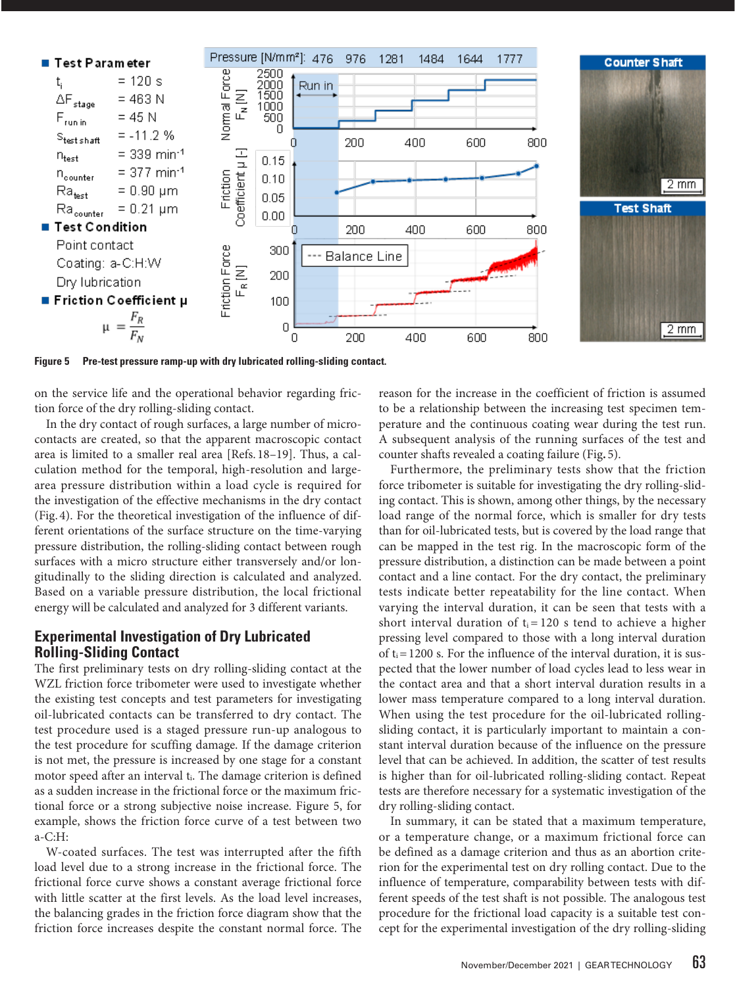

**Figure 5 Pre-test pressure ramp-up with dry lubricated rolling-sliding contact.**

on the service life and the operational behavior regarding friction force of the dry rolling-sliding contact.

In the dry contact of rough surfaces, a large number of microcontacts are created, so that the apparent macroscopic contact area is limited to a smaller real area [Refs. 18–19]. Thus, a calculation method for the temporal, high-resolution and largearea pressure distribution within a load cycle is required for the investigation of the effective mechanisms in the dry contact (Fig. 4). For the theoretical investigation of the influence of different orientations of the surface structure on the time-varying pressure distribution, the rolling-sliding contact between rough surfaces with a micro structure either transversely and/or longitudinally to the sliding direction is calculated and analyzed. Based on a variable pressure distribution, the local frictional energy will be calculated and analyzed for 3 different variants.

#### **Experimental Investigation of Dry Lubricated Rolling-Sliding Contact**

The first preliminary tests on dry rolling-sliding contact at the WZL friction force tribometer were used to investigate whether the existing test concepts and test parameters for investigating oil-lubricated contacts can be transferred to dry contact. The test procedure used is a staged pressure run-up analogous to the test procedure for scuffing damage. If the damage criterion is not met, the pressure is increased by one stage for a constant motor speed after an interval  $t_i$ . The damage criterion is defined as a sudden increase in the frictional force or the maximum frictional force or a strong subjective noise increase. Figure 5, for example, shows the friction force curve of a test between two a-C:H:

W-coated surfaces. The test was interrupted after the fifth load level due to a strong increase in the frictional force. The frictional force curve shows a constant average frictional force with little scatter at the first levels. As the load level increases, the balancing grades in the friction force diagram show that the friction force increases despite the constant normal force. The reason for the increase in the coefficient of friction is assumed to be a relationship between the increasing test specimen temperature and the continuous coating wear during the test run. A subsequent analysis of the running surfaces of the test and counter shafts revealed a coating failure (Fig**.** 5).

Furthermore, the preliminary tests show that the friction force tribometer is suitable for investigating the dry rolling-sliding contact. This is shown, among other things, by the necessary load range of the normal force, which is smaller for dry tests than for oil-lubricated tests, but is covered by the load range that can be mapped in the test rig. In the macroscopic form of the pressure distribution, a distinction can be made between a point contact and a line contact. For the dry contact, the preliminary tests indicate better repeatability for the line contact. When varying the interval duration, it can be seen that tests with a short interval duration of  $t_i = 120$  s tend to achieve a higher pressing level compared to those with a long interval duration of  $t_i=1200$  s. For the influence of the interval duration, it is suspected that the lower number of load cycles lead to less wear in the contact area and that a short interval duration results in a lower mass temperature compared to a long interval duration. When using the test procedure for the oil-lubricated rollingsliding contact, it is particularly important to maintain a constant interval duration because of the influence on the pressure level that can be achieved. In addition, the scatter of test results is higher than for oil-lubricated rolling-sliding contact. Repeat tests are therefore necessary for a systematic investigation of the dry rolling-sliding contact.

In summary, it can be stated that a maximum temperature, or a temperature change, or a maximum frictional force can be defined as a damage criterion and thus as an abortion criterion for the experimental test on dry rolling contact. Due to the influence of temperature, comparability between tests with different speeds of the test shaft is not possible. The analogous test procedure for the frictional load capacity is a suitable test concept for the experimental investigation of the dry rolling-sliding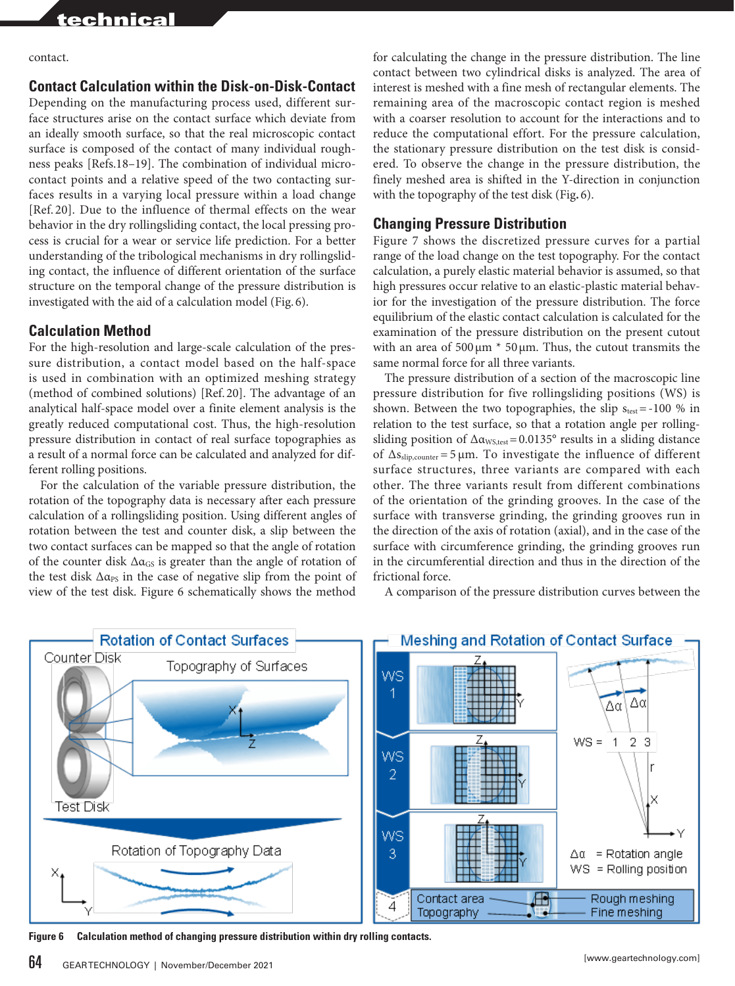contact.

# **Contact Calculation within the Disk-on-Disk-Contact**

Depending on the manufacturing process used, different surface structures arise on the contact surface which deviate from an ideally smooth surface, so that the real microscopic contact surface is composed of the contact of many individual roughness peaks [Refs.18–19]. The combination of individual microcontact points and a relative speed of the two contacting surfaces results in a varying local pressure within a load change [Ref. 20]. Due to the influence of thermal effects on the wear behavior in the dry rollingsliding contact, the local pressing process is crucial for a wear or service life prediction. For a better understanding of the tribological mechanisms in dry rollingsliding contact, the influence of different orientation of the surface structure on the temporal change of the pressure distribution is investigated with the aid of a calculation model (Fig. 6).

# **Calculation Method**

For the high-resolution and large-scale calculation of the pressure distribution, a contact model based on the half-space is used in combination with an optimized meshing strategy (method of combined solutions) [Ref. 20]. The advantage of an analytical half-space model over a finite element analysis is the greatly reduced computational cost. Thus, the high-resolution pressure distribution in contact of real surface topographies as a result of a normal force can be calculated and analyzed for different rolling positions.

For the calculation of the variable pressure distribution, the rotation of the topography data is necessary after each pressure calculation of a rollingsliding position. Using different angles of rotation between the test and counter disk, a slip between the two contact surfaces can be mapped so that the angle of rotation of the counter disk  $\Delta \alpha_{\rm GS}$  is greater than the angle of rotation of the test disk  $\Delta \alpha_{PS}$  in the case of negative slip from the point of view of the test disk. Figure 6 schematically shows the method

for calculating the change in the pressure distribution. The line contact between two cylindrical disks is analyzed. The area of interest is meshed with a fine mesh of rectangular elements. The remaining area of the macroscopic contact region is meshed with a coarser resolution to account for the interactions and to reduce the computational effort. For the pressure calculation, the stationary pressure distribution on the test disk is considered. To observe the change in the pressure distribution, the finely meshed area is shifted in the Y-direction in conjunction with the topography of the test disk (Fig**.** 6).

### **Changing Pressure Distribution**

Figure 7 shows the discretized pressure curves for a partial range of the load change on the test topography. For the contact calculation, a purely elastic material behavior is assumed, so that high pressures occur relative to an elastic-plastic material behavior for the investigation of the pressure distribution. The force equilibrium of the elastic contact calculation is calculated for the examination of the pressure distribution on the present cutout with an area of  $500 \mu m * 50 \mu m$ . Thus, the cutout transmits the same normal force for all three variants.

The pressure distribution of a section of the macroscopic line pressure distribution for five rollingsliding positions (WS) is shown. Between the two topographies, the slip  $s_{test}$  = -100 % in relation to the test surface, so that a rotation angle per rollingsliding position of  $\Delta \alpha_{WS, test} = 0.0135^\circ$  results in a sliding distance of  $\Delta s_{\text{slip,counter}} = 5 \,\mu\text{m}$ . To investigate the influence of different surface structures, three variants are compared with each other. The three variants result from different combinations of the orientation of the grinding grooves. In the case of the surface with transverse grinding, the grinding grooves run in the direction of the axis of rotation (axial), and in the case of the surface with circumference grinding, the grinding grooves run in the circumferential direction and thus in the direction of the frictional force.

A comparison of the pressure distribution curves between the



**Figure 6 Calculation method of changing pressure distribution within dry rolling contacts.**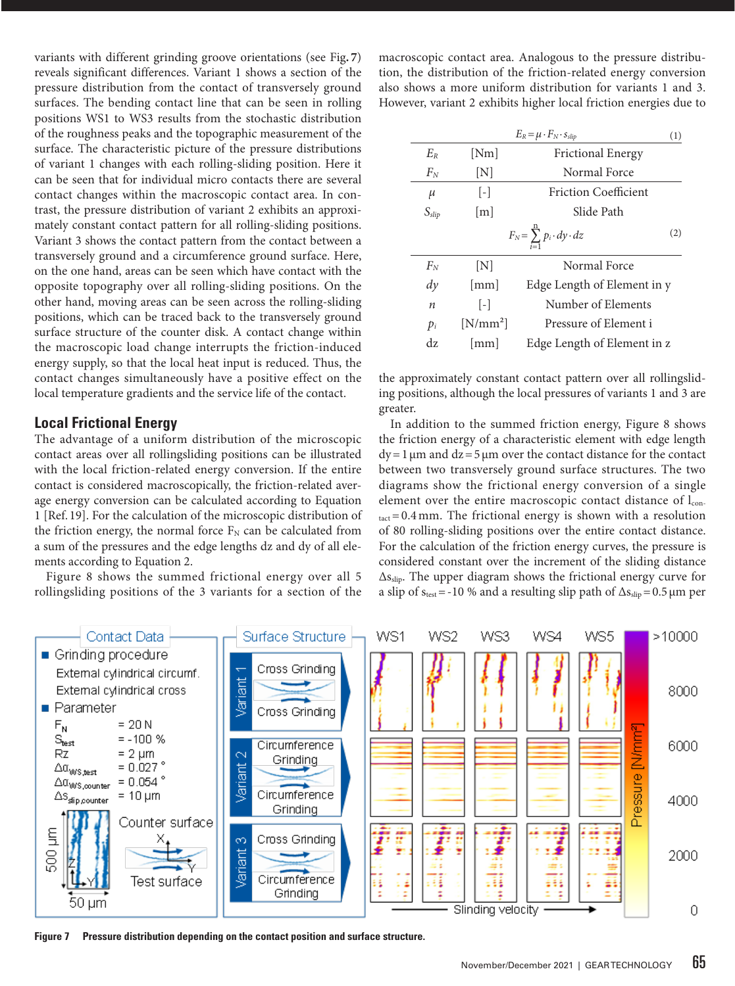variants with different grinding groove orientations (see Fig**.7**) reveals significant differences. Variant 1 shows a section of the pressure distribution from the contact of transversely ground surfaces. The bending contact line that can be seen in rolling positions WS1 to WS3 results from the stochastic distribution of the roughness peaks and the topographic measurement of the surface. The characteristic picture of the pressure distributions of variant 1 changes with each rolling-sliding position. Here it can be seen that for individual micro contacts there are several contact changes within the macroscopic contact area. In contrast, the pressure distribution of variant 2 exhibits an approximately constant contact pattern for all rolling-sliding positions. Variant 3 shows the contact pattern from the contact between a transversely ground and a circumference ground surface. Here, on the one hand, areas can be seen which have contact with the opposite topography over all rolling-sliding positions. On the other hand, moving areas can be seen across the rolling-sliding positions, which can be traced back to the transversely ground surface structure of the counter disk. A contact change within the macroscopic load change interrupts the friction-induced energy supply, so that the local heat input is reduced. Thus, the contact changes simultaneously have a positive effect on the local temperature gradients and the service life of the contact.

#### **Local Frictional Energy**

The advantage of a uniform distribution of the microscopic contact areas over all rollingsliding positions can be illustrated with the local friction-related energy conversion. If the entire contact is considered macroscopically, the friction-related average energy conversion can be calculated according to Equation 1 [Ref. 19]. For the calculation of the microscopic distribution of the friction energy, the normal force  $F_N$  can be calculated from a sum of the pressures and the edge lengths dz and dy of all elements according to Equation 2.

Figure 8 shows the summed frictional energy over all 5 rollingsliding positions of the 3 variants for a section of the macroscopic contact area. Analogous to the pressure distribution, the distribution of the friction-related energy conversion also shows a more uniform distribution for variants 1 and 3. However, variant 2 exhibits higher local friction energies due to

| $E_R = \mu \cdot F_N \cdot s_{slip}$<br>(1) |                      |                                            |     |  |
|---------------------------------------------|----------------------|--------------------------------------------|-----|--|
| $E_R$                                       | [Nm]                 | <b>Frictional Energy</b>                   |     |  |
| $F_N$                                       | $\mathbb{N}$         | Normal Force                               |     |  |
| $\mu$                                       | $\lceil - \rceil$    | <b>Friction Coefficient</b>                |     |  |
| $S_{slip}$                                  | $\lceil m \rceil$    | Slide Path                                 |     |  |
|                                             |                      | $F_N = \sum_{i=1}^n p_i \cdot dy \cdot dz$ | (2) |  |
| $F_N$                                       | [N]                  | Normal Force                               |     |  |
| $\frac{dy}{x}$                              | $\lceil$ mm $\rceil$ | Edge Length of Element in y                |     |  |
| п                                           | $\lceil - \rceil$    | Number of Elements                         |     |  |
| $p_i$                                       | $[N/mm^2]$           | Pressure of Element i                      |     |  |
| dz.                                         | $\lceil$ mm $\rceil$ | Edge Length of Element in z                |     |  |

the approximately constant contact pattern over all rollingsliding positions, although the local pressures of variants 1 and 3 are greater.

In addition to the summed friction energy, Figure 8 shows the friction energy of a characteristic element with edge length  $dy = 1 \mu m$  and  $dz = 5 \mu m$  over the contact distance for the contact between two transversely ground surface structures. The two diagrams show the frictional energy conversion of a single element over the entire macroscopic contact distance of  $l_{con}$  $_{\text{tact}}$  = 0.4 mm. The frictional energy is shown with a resolution of 80 rolling-sliding positions over the entire contact distance. For the calculation of the friction energy curves, the pressure is considered constant over the increment of the sliding distance  $\Delta s_{\text{slip}}$ . The upper diagram shows the frictional energy curve for a slip of  $s_{test}$ =-10 % and a resulting slip path of  $\Delta s_{slip}=0.5 \,\mu m$  per



**Figure 7 Pressure distribution depending on the contact position and surface structure.**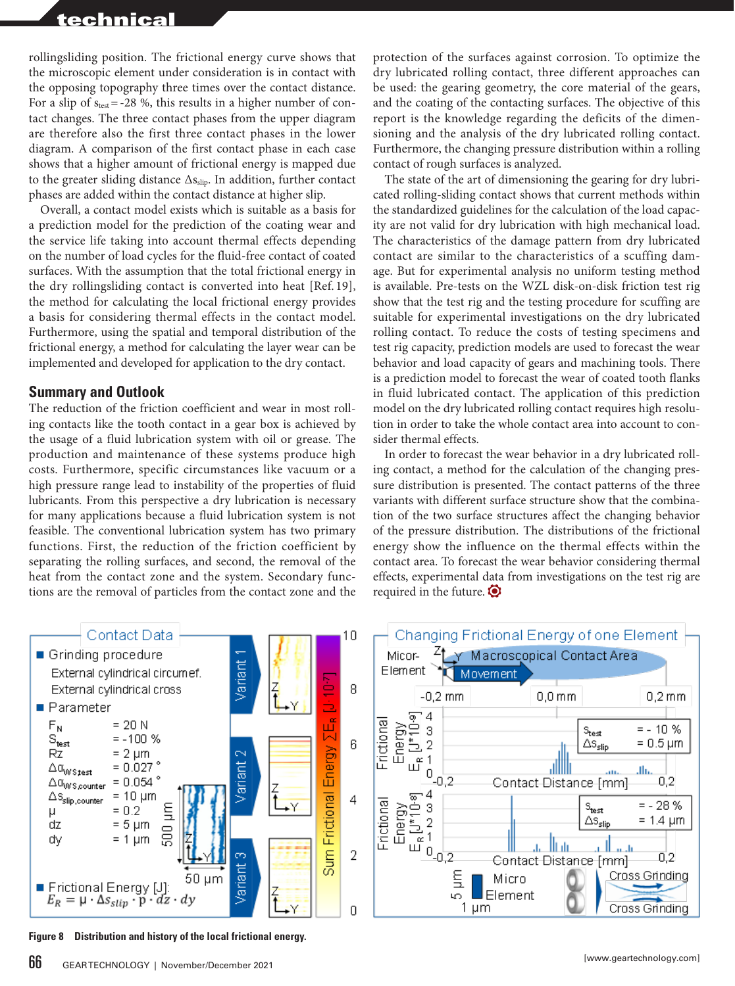rollingsliding position. The frictional energy curve shows that the microscopic element under consideration is in contact with the opposing topography three times over the contact distance. For a slip of  $s_{test}$  = -28 %, this results in a higher number of contact changes. The three contact phases from the upper diagram are therefore also the first three contact phases in the lower diagram. A comparison of the first contact phase in each case shows that a higher amount of frictional energy is mapped due to the greater sliding distance  $\Delta s_{\text{slip}}$ . In addition, further contact phases are added within the contact distance at higher slip.

Overall, a contact model exists which is suitable as a basis for a prediction model for the prediction of the coating wear and the service life taking into account thermal effects depending on the number of load cycles for the fluid-free contact of coated surfaces. With the assumption that the total frictional energy in the dry rollingsliding contact is converted into heat [Ref. 19], the method for calculating the local frictional energy provides a basis for considering thermal effects in the contact model. Furthermore, using the spatial and temporal distribution of the frictional energy, a method for calculating the layer wear can be implemented and developed for application to the dry contact.

## **Summary and Outlook**

The reduction of the friction coefficient and wear in most rolling contacts like the tooth contact in a gear box is achieved by the usage of a fluid lubrication system with oil or grease. The production and maintenance of these systems produce high costs. Furthermore, specific circumstances like vacuum or a high pressure range lead to instability of the properties of fluid lubricants. From this perspective a dry lubrication is necessary for many applications because a fluid lubrication system is not feasible. The conventional lubrication system has two primary functions. First, the reduction of the friction coefficient by separating the rolling surfaces, and second, the removal of the heat from the contact zone and the system. Secondary functions are the removal of particles from the contact zone and the

protection of the surfaces against corrosion. To optimize the dry lubricated rolling contact, three different approaches can be used: the gearing geometry, the core material of the gears, and the coating of the contacting surfaces. The objective of this report is the knowledge regarding the deficits of the dimensioning and the analysis of the dry lubricated rolling contact. Furthermore, the changing pressure distribution within a rolling contact of rough surfaces is analyzed.

The state of the art of dimensioning the gearing for dry lubricated rolling-sliding contact shows that current methods within the standardized guidelines for the calculation of the load capacity are not valid for dry lubrication with high mechanical load. The characteristics of the damage pattern from dry lubricated contact are similar to the characteristics of a scuffing damage. But for experimental analysis no uniform testing method is available. Pre-tests on the WZL disk-on-disk friction test rig show that the test rig and the testing procedure for scuffing are suitable for experimental investigations on the dry lubricated rolling contact. To reduce the costs of testing specimens and test rig capacity, prediction models are used to forecast the wear behavior and load capacity of gears and machining tools. There is a prediction model to forecast the wear of coated tooth flanks in fluid lubricated contact. The application of this prediction model on the dry lubricated rolling contact requires high resolution in order to take the whole contact area into account to consider thermal effects.

In order to forecast the wear behavior in a dry lubricated rolling contact, a method for the calculation of the changing pressure distribution is presented. The contact patterns of the three variants with different surface structure show that the combination of the two surface structures affect the changing behavior of the pressure distribution. The distributions of the frictional energy show the influence on the thermal effects within the contact area. To forecast the wear behavior considering thermal effects, experimental data from investigations on the test rig are required in the future.  $\bullet$ 



**Figure 8 Distribution and history of the local frictional energy.**